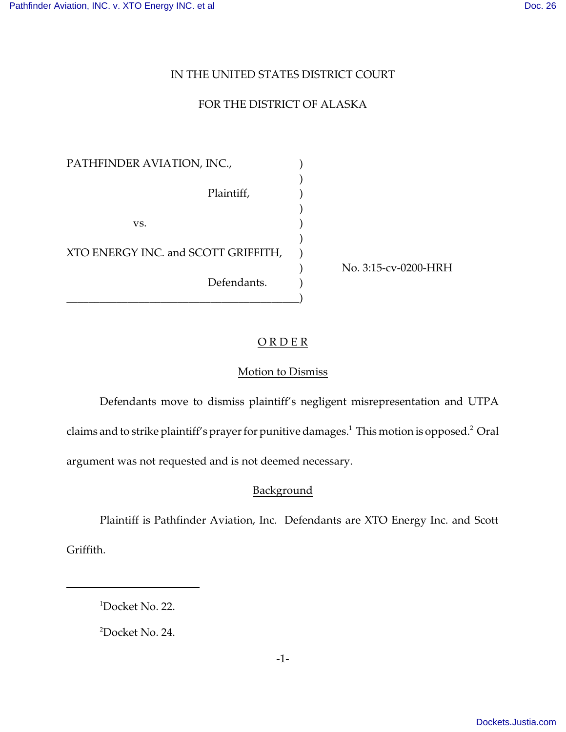## IN THE UNITED STATES DISTRICT COURT

# FOR THE DISTRICT OF ALASKA

)

)

)

PATHFINDER AVIATION, INC.,  $($ Plaintiff,  $)$  $\mathbf{v}\mathbf{s}$ . XTO ENERGY INC. and SCOTT GRIFFITH, Defendants. \_\_\_\_\_\_\_\_\_\_\_\_\_\_\_\_\_\_\_\_\_\_\_\_\_\_\_\_\_\_\_\_\_\_\_\_\_\_\_\_\_\_)

) No. 3:15-cv-0200-HRH

## ORDER<sub></sub>

## Motion to Dismiss

Defendants move to dismiss plaintiff's negligent misrepresentation and UTPA claims and to strike plaintiff's prayer for punitive damages. $^1$  This motion is opposed. $^2$  Oral

argument was not requested and is not deemed necessary.

### Background

Plaintiff is Pathfinder Aviation, Inc. Defendants are XTO Energy Inc. and Scott Griffith.

<sup>1</sup>Docket No. 22.

<sup>2</sup>Docket No. 24.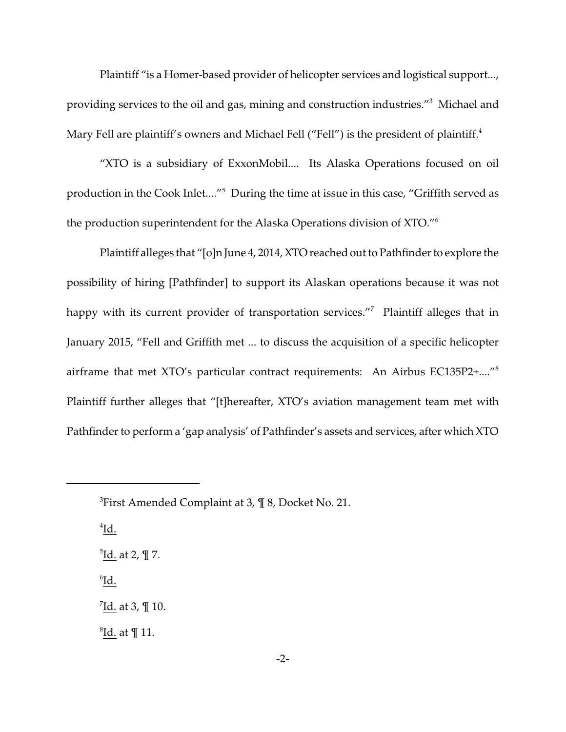Plaintiff "is a Homer-based provider of helicopter services and logistical support..., providing services to the oil and gas, mining and construction industries."<sup>3</sup> Michael and Mary Fell are plaintiff's owners and Michael Fell ("Fell") is the president of plaintiff. $^4$ 

"XTO is a subsidiary of ExxonMobil.... Its Alaska Operations focused on oil production in the Cook Inlet...."<sup>5</sup> During the time at issue in this case, "Griffith served as the production superintendent for the Alaska Operations division of XTO."<sup>6</sup>

Plaintiff alleges that "[o]n June 4, 2014, XTO reached out to Pathfinder to explore the possibility of hiring [Pathfinder] to support its Alaskan operations because it was not happy with its current provider of transportation services."<sup>7</sup> Plaintiff alleges that in January 2015, "Fell and Griffith met ... to discuss the acquisition of a specific helicopter airframe that met XTO's particular contract requirements: An Airbus EC135P2+...."<sup>8</sup> Plaintiff further alleges that "[t]hereafter, XTO's aviation management team met with Pathfinder to perform a 'gap analysis' of Pathfinder's assets and services, after which XTO

 $\overline{1d}$ .

<sup>5</sup><u>Id.</u> at 2, ¶ 7.

6 Id.

<sup>7</sup><u>Id.</u> at 3, ¶ 10.

 ${}^{8}$ <u>Id.</u> at ¶ 11.

 ${}^{3}$ First Amended Complaint at 3,  $\P$  8, Docket No. 21.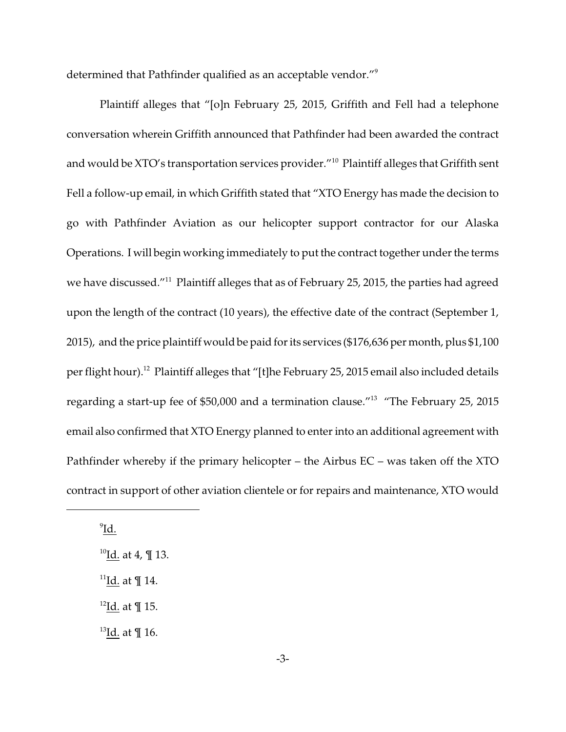determined that Pathfinder qualified as an acceptable vendor."<sup>9</sup>

Plaintiff alleges that "[o]n February 25, 2015, Griffith and Fell had a telephone conversation wherein Griffith announced that Pathfinder had been awarded the contract and would be XTO's transportation services provider."<sup>10</sup> Plaintiff alleges that Griffith sent Fell a follow-up email, in which Griffith stated that "XTO Energy has made the decision to go with Pathfinder Aviation as our helicopter support contractor for our Alaska Operations. I will begin working immediately to put the contract together under the terms we have discussed."<sup>11</sup> Plaintiff alleges that as of February 25, 2015, the parties had agreed upon the length of the contract (10 years), the effective date of the contract (September 1, 2015), and the price plaintiff would be paid for its services (\$176,636 per month, plus \$1,100 per flight hour).<sup>12</sup> Plaintiff alleges that "[t]he February 25, 2015 email also included details regarding a start-up fee of \$50,000 and a termination clause."<sup>13</sup> "The February 25, 2015 email also confirmed that XTO Energy planned to enter into an additional agreement with Pathfinder whereby if the primary helicopter – the Airbus EC – was taken off the XTO contract in support of other aviation clientele or for repairs and maintenance, XTO would

 $^9$ <u>Id.</u>

- <sup>11</sup>Id. at  $\P$  14.
- $^{12}$ Id. at ¶ 15.

 $13$ Id. at  $\P$  16.

 $10$ Id. at 4, ¶ 13.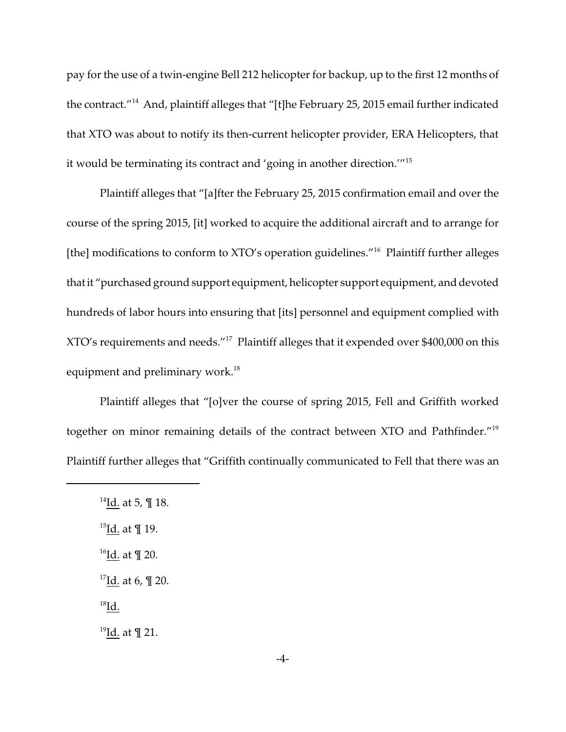pay for the use of a twin-engine Bell 212 helicopter for backup, up to the first 12 months of the contract."<sup>14</sup> And, plaintiff alleges that "[t]he February 25, 2015 email further indicated that XTO was about to notify its then-current helicopter provider, ERA Helicopters, that it would be terminating its contract and 'going in another direction.'"<sup>15</sup>

Plaintiff alleges that "[a]fter the February 25, 2015 confirmation email and over the course of the spring 2015, [it] worked to acquire the additional aircraft and to arrange for [the] modifications to conform to XTO's operation guidelines."<sup>16</sup> Plaintiff further alleges that it "purchased ground support equipment, helicopter support equipment, and devoted hundreds of labor hours into ensuring that [its] personnel and equipment complied with XTO's requirements and needs."<sup>17</sup> Plaintiff alleges that it expended over \$400,000 on this equipment and preliminary work.<sup>18</sup>

Plaintiff alleges that "[o]ver the course of spring 2015, Fell and Griffith worked together on minor remaining details of the contract between XTO and Pathfinder."<sup>19</sup> Plaintiff further alleges that "Griffith continually communicated to Fell that there was an

<sup>19</sup>Id. at ¶ 21.

<sup>&</sup>lt;sup>14</sup>Id. at 5, ¶ 18.

<sup>&</sup>lt;sup>15</sup>Id. at  $\P$  19.

 $16$ Id. at ¶ 20.

 $17$ Id. at 6, ¶ 20.

 $^{18}$ Id.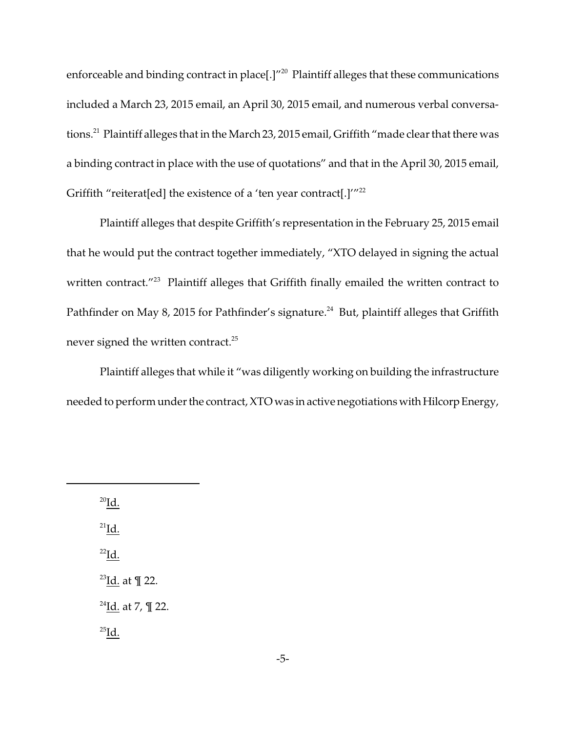enforceable and binding contract in place[.]"<sup>20</sup> Plaintiff alleges that these communications included a March 23, 2015 email, an April 30, 2015 email, and numerous verbal conversations.<sup>21</sup> Plaintiff alleges that in the March 23, 2015 email, Griffith "made clear that there was a binding contract in place with the use of quotations" and that in the April 30, 2015 email, Griffith "reiterat[ed] the existence of a 'ten year contract[.] $^{\prime\prime\prime22}$ 

Plaintiff alleges that despite Griffith's representation in the February 25, 2015 email that he would put the contract together immediately, "XTO delayed in signing the actual written contract."<sup>23</sup> Plaintiff alleges that Griffith finally emailed the written contract to Pathfinder on May 8, 2015 for Pathfinder's signature.<sup>24</sup> But, plaintiff alleges that Griffith never signed the written contract. $^{25}$ 

Plaintiff alleges that while it "was diligently working on building the infrastructure needed to perform under the contract, XTO was in active negotiations with Hilcorp Energy,

 $^{20}$ Id.  $^{21}$ Id.  $^{22}$ Id.  $23$ Id. at  $\P$  22.  $^{24}$ Id. at 7, ¶ 22.  $^{25}$ Id.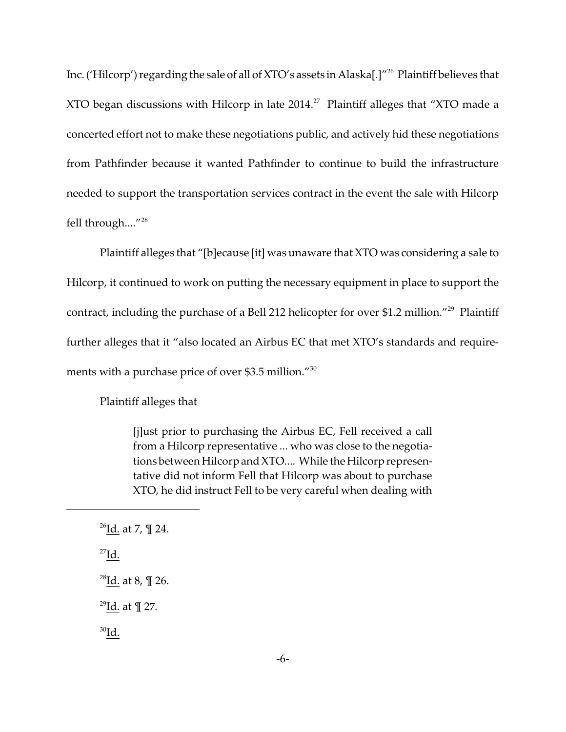Inc. ('Hilcorp') regarding the sale of all of XTO's assets in Alaska[.]"<sup>26</sup> Plaintiff believes that XTO began discussions with Hilcorp in late 2014.<sup>27</sup> Plaintiff alleges that "XTO made a concerted effort not to make these negotiations public, and actively hid these negotiations from Pathfinder because it wanted Pathfinder to continue to build the infrastructure needed to support the transportation services contract in the event the sale with Hilcorp fell through...."<sup>28</sup>

Plaintiff alleges that "[b]ecause [it] was unaware that XTO was considering a sale to Hilcorp, it continued to work on putting the necessary equipment in place to support the contract, including the purchase of a Bell 212 helicopter for over \$1.2 million."<sup>29</sup> Plaintiff further alleges that it "also located an Airbus EC that met XTO's standards and requirements with a purchase price of over \$3.5 million."<sup>30</sup>

Plaintiff alleges that

[j]ust prior to purchasing the Airbus EC, Fell received a call from a Hilcorp representative ... who was close to the negotiations between Hilcorp and XTO.... While the Hilcorp representative did not inform Fell that Hilcorp was about to purchase XTO, he did instruct Fell to be very careful when dealing with

 $^{29}$ Id. at ¶ 27.

 $^{30}$ Id.

 $^{26}$ <u>Id.</u> at 7, ¶ 24.

 $^{27}$ Id.

<sup>&</sup>lt;sup>28</sup>Id. at 8,  $\P$  26.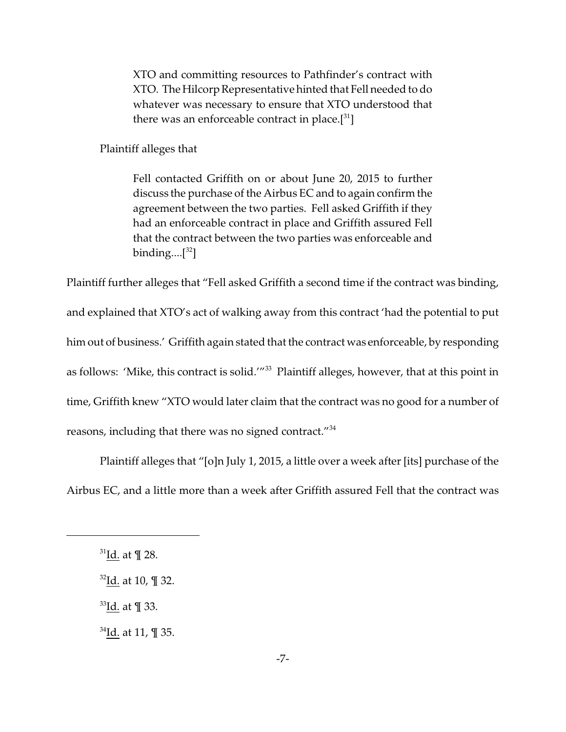XTO and committing resources to Pathfinder's contract with XTO. The Hilcorp Representative hinted that Fell needed to do whatever was necessary to ensure that XTO understood that there was an enforceable contract in place. $[31]$ 

Plaintiff alleges that

Fell contacted Griffith on or about June 20, 2015 to further discuss the purchase of the Airbus EC and to again confirm the agreement between the two parties. Fell asked Griffith if they had an enforceable contract in place and Griffith assured Fell that the contract between the two parties was enforceable and binding.... $[32]$ 

Plaintiff further alleges that "Fell asked Griffith a second time if the contract was binding, and explained that XTO's act of walking away from this contract 'had the potential to put him out of business.' Griffith again stated that the contract was enforceable, by responding as follows: 'Mike, this contract is solid.'"<sup>33</sup> Plaintiff alleges, however, that at this point in time, Griffith knew "XTO would later claim that the contract was no good for a number of reasons, including that there was no signed contract."<sup>34</sup>

Plaintiff alleges that "[o]n July 1, 2015, a little over a week after [its] purchase of the Airbus EC, and a little more than a week after Griffith assured Fell that the contract was

 $31$ Id. at ¶ 28.

 $32$ Id. at 10, ¶ 32.

<sup>33</sup>Id. at ¶ 33.

<sup>34</sup>Id. at 11, ¶ 35.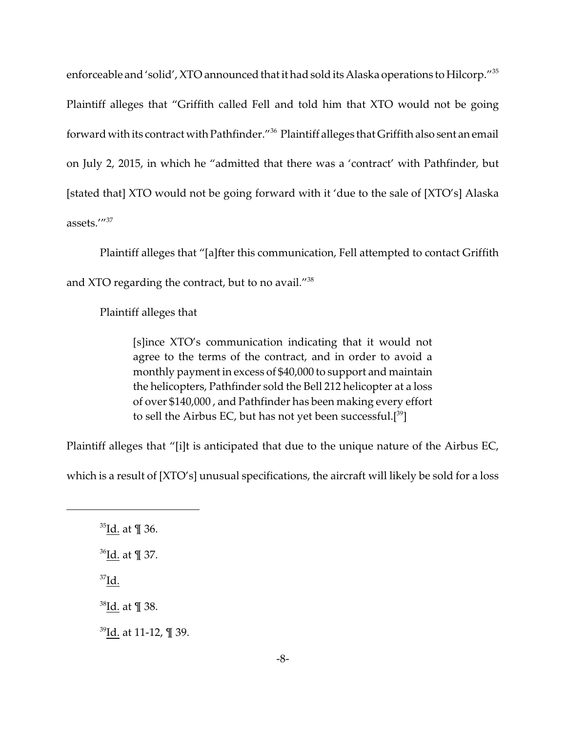enforceable and 'solid', XTO announced that it had sold its Alaska operations to Hilcorp."<sup>35</sup> Plaintiff alleges that "Griffith called Fell and told him that XTO would not be going forward with its contract with Pathfinder."<sup>36</sup> Plaintiff alleges that Griffith also sent an email on July 2, 2015, in which he "admitted that there was a 'contract' with Pathfinder, but [stated that] XTO would not be going forward with it 'due to the sale of [XTO's] Alaska assets.'"<sup>37</sup>

Plaintiff alleges that "[a]fter this communication, Fell attempted to contact Griffith and XTO regarding the contract, but to no avail."<sup>38</sup>

Plaintiff alleges that

[s]ince XTO's communication indicating that it would not agree to the terms of the contract, and in order to avoid a monthly payment in excess of \$40,000 to support and maintain the helicopters, Pathfinder sold the Bell 212 helicopter at a loss of over \$140,000 , and Pathfinder has been making every effort to sell the Airbus EC, but has not yet been successful.<sup>[39</sup>]

Plaintiff alleges that "[i]t is anticipated that due to the unique nature of the Airbus EC,

which is a result of [XTO's] unusual specifications, the aircraft will likely be sold for a loss

 $37$ Id.

<sup>38</sup>Id. at ¶ 38.

<sup>39</sup>Id. at 11-12, ¶ 39.

<sup>35</sup>Id. at ¶ 36.

<sup>36</sup>Id. at ¶ 37.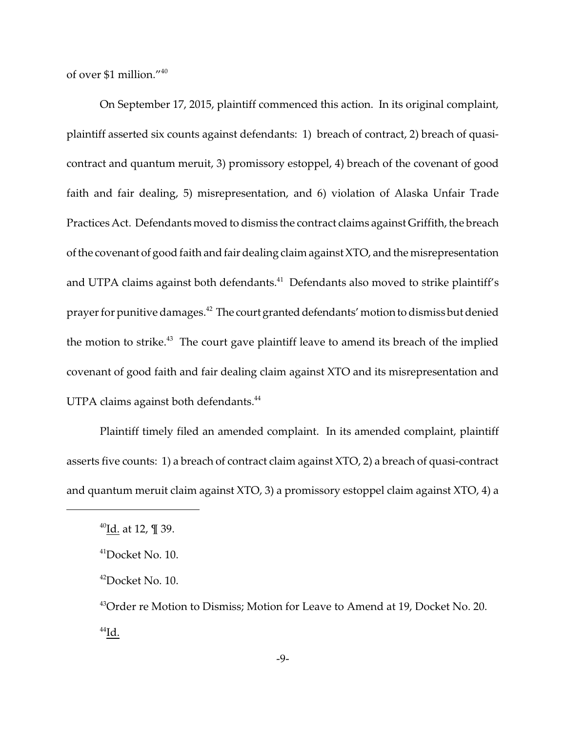of over \$1 million."<sup>40</sup>

On September 17, 2015, plaintiff commenced this action. In its original complaint, plaintiff asserted six counts against defendants: 1) breach of contract, 2) breach of quasicontract and quantum meruit, 3) promissory estoppel, 4) breach of the covenant of good faith and fair dealing, 5) misrepresentation, and 6) violation of Alaska Unfair Trade Practices Act. Defendants moved to dismiss the contract claims against Griffith, the breach of the covenant of good faith and fair dealing claim against XTO, and the misrepresentation and UTPA claims against both defendants.<sup>41</sup> Defendants also moved to strike plaintiff's prayer for punitive damages.<sup>42</sup> The court granted defendants' motion to dismiss but denied the motion to strike.<sup>43</sup> The court gave plaintiff leave to amend its breach of the implied covenant of good faith and fair dealing claim against XTO and its misrepresentation and UTPA claims against both defendants.<sup>44</sup>

Plaintiff timely filed an amended complaint. In its amended complaint, plaintiff asserts five counts: 1) a breach of contract claim against XTO, 2) a breach of quasi-contract and quantum meruit claim against XTO, 3) a promissory estoppel claim against XTO, 4) a

 $^{40}$ Id. at 12, ¶ 39.

<sup>41</sup>Docket No. 10.

 $42$ Docket No. 10.

<sup>&</sup>lt;sup>43</sup>Order re Motion to Dismiss; Motion for Leave to Amend at 19, Docket No. 20.  $^{44}$ Id.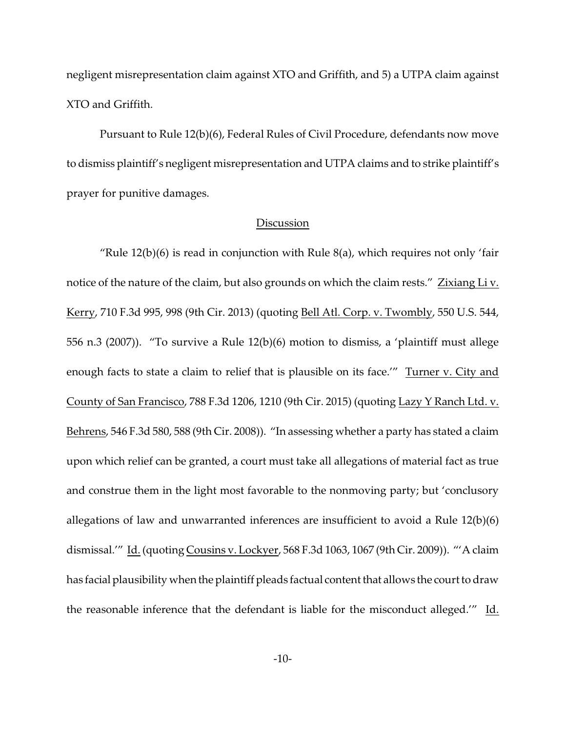negligent misrepresentation claim against XTO and Griffith, and 5) a UTPA claim against XTO and Griffith.

Pursuant to Rule 12(b)(6), Federal Rules of Civil Procedure, defendants now move to dismiss plaintiff's negligent misrepresentation and UTPA claims and to strike plaintiff's prayer for punitive damages.

#### **Discussion**

"Rule  $12(b)(6)$  is read in conjunction with Rule  $8(a)$ , which requires not only 'fair notice of the nature of the claim, but also grounds on which the claim rests." Zixiang Liv. Kerry, 710 F.3d 995, 998 (9th Cir. 2013) (quoting Bell Atl. Corp. v. Twombly, 550 U.S. 544, 556 n.3 (2007)). "To survive a Rule 12(b)(6) motion to dismiss, a 'plaintiff must allege enough facts to state a claim to relief that is plausible on its face." Turner v. City and County of San Francisco, 788 F.3d 1206, 1210 (9th Cir. 2015) (quoting Lazy Y Ranch Ltd. v. Behrens, 546 F.3d 580, 588 (9th Cir. 2008)). "In assessing whether a party has stated a claim upon which relief can be granted, a court must take all allegations of material fact as true and construe them in the light most favorable to the nonmoving party; but 'conclusory allegations of law and unwarranted inferences are insufficient to avoid a Rule 12(b)(6) dismissal.'" Id. (quoting Cousins v. Lockyer, 568 F.3d 1063, 1067 (9th Cir. 2009)). "'A claim has facial plausibility when the plaintiff pleads factual content that allows the court to draw the reasonable inference that the defendant is liable for the misconduct alleged.'" Id.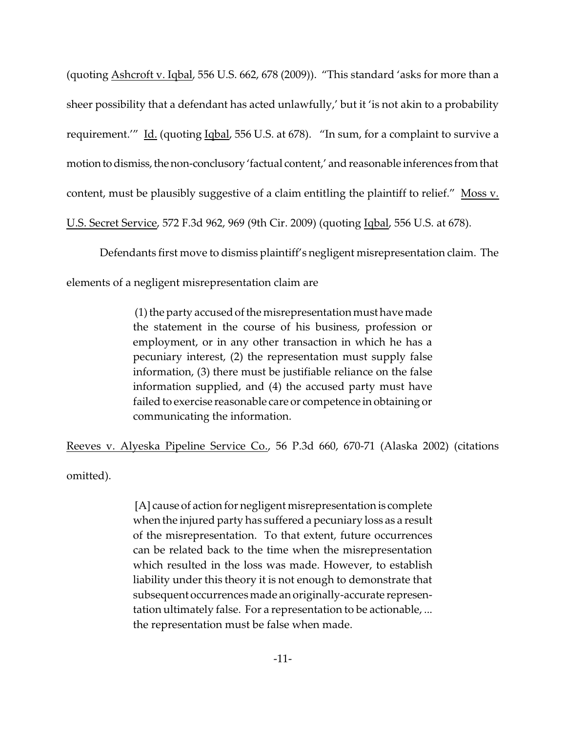(quoting Ashcroft v. Iqbal, 556 U.S. 662, 678 (2009)). "This standard 'asks for more than a sheer possibility that a defendant has acted unlawfully,' but it 'is not akin to a probability requirement.'" Id. (quoting Iqbal, 556 U.S. at 678). "In sum, for a complaint to survive a motion to dismiss, the non-conclusory 'factual content,' and reasonable inferences from that content, must be plausibly suggestive of a claim entitling the plaintiff to relief." Moss v. U.S. Secret Service, 572 F.3d 962, 969 (9th Cir. 2009) (quoting Iqbal, 556 U.S. at 678).

Defendants first move to dismiss plaintiff's negligent misrepresentation claim. The

elements of a negligent misrepresentation claim are

 (1) the party accused of the misrepresentation must have made the statement in the course of his business, profession or employment, or in any other transaction in which he has a pecuniary interest, (2) the representation must supply false information, (3) there must be justifiable reliance on the false information supplied, and (4) the accused party must have failed to exercise reasonable care or competence in obtaining or communicating the information.

Reeves v. Alyeska Pipeline Service Co., 56 P.3d 660, 670-71 (Alaska 2002) (citations

omitted).

 [A] cause of action for negligent misrepresentation is complete when the injured party has suffered a pecuniary loss as a result of the misrepresentation. To that extent, future occurrences can be related back to the time when the misrepresentation which resulted in the loss was made. However, to establish liability under this theory it is not enough to demonstrate that subsequent occurrences made an originally-accurate representation ultimately false. For a representation to be actionable, ... the representation must be false when made.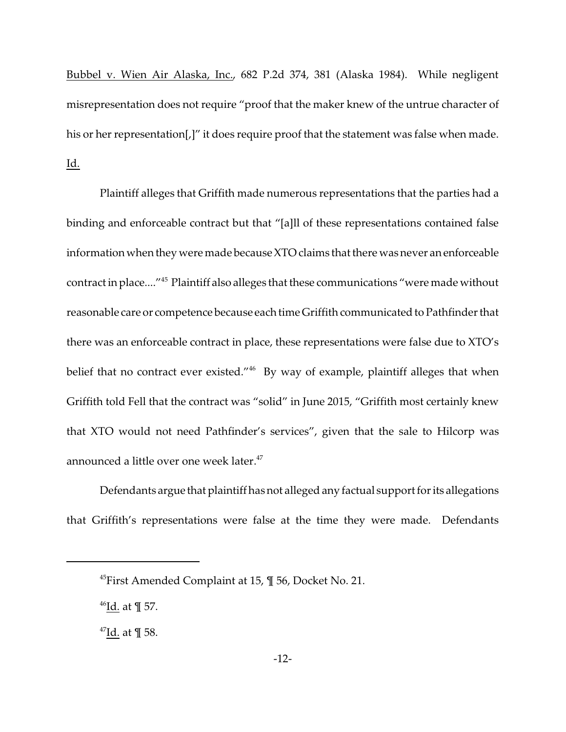Bubbel v. Wien Air Alaska, Inc., 682 P.2d 374, 381 (Alaska 1984). While negligent misrepresentation does not require "proof that the maker knew of the untrue character of his or her representation[,]" it does require proof that the statement was false when made. Id.

Plaintiff alleges that Griffith made numerous representations that the parties had a binding and enforceable contract but that "[a]ll of these representations contained false information when they were made because XTO claims that there was never an enforceable contract in place...."<sup>45</sup> Plaintiff also alleges that these communications "were made without reasonable care or competence because each time Griffith communicated to Pathfinder that there was an enforceable contract in place, these representations were false due to XTO's belief that no contract ever existed."<sup>46</sup> By way of example, plaintiff alleges that when Griffith told Fell that the contract was "solid" in June 2015, "Griffith most certainly knew that XTO would not need Pathfinder's services", given that the sale to Hilcorp was announced a little over one week later.<sup>47</sup>

Defendants argue that plaintiff has not alleged any factual support for its allegations that Griffith's representations were false at the time they were made. Defendants

 $46$ Id. at ¶ 57.

<sup>45</sup>First Amended Complaint at 15, ¶ 56, Docket No. 21.

 $47$ Id. at ¶ 58.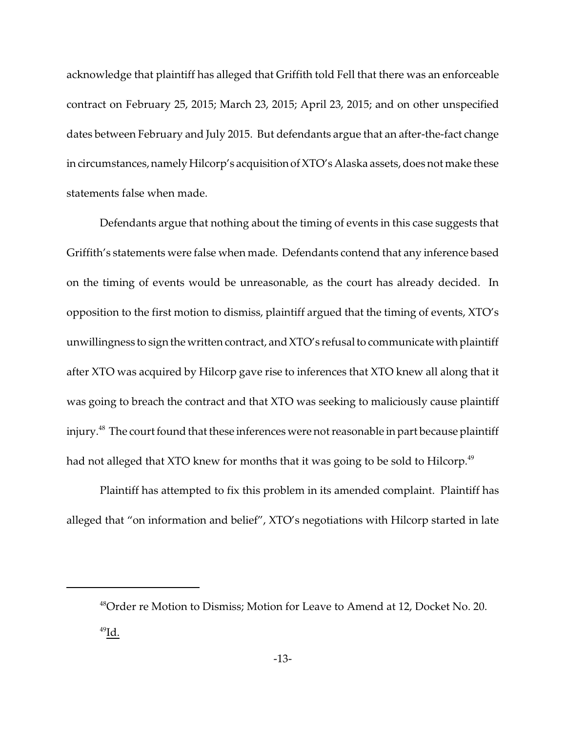acknowledge that plaintiff has alleged that Griffith told Fell that there was an enforceable contract on February 25, 2015; March 23, 2015; April 23, 2015; and on other unspecified dates between February and July 2015. But defendants argue that an after-the-fact change in circumstances, namely Hilcorp's acquisition of XTO's Alaska assets, does not make these statements false when made.

Defendants argue that nothing about the timing of events in this case suggests that Griffith's statements were false when made. Defendants contend that any inference based on the timing of events would be unreasonable, as the court has already decided. In opposition to the first motion to dismiss, plaintiff argued that the timing of events, XTO's unwillingness to sign the written contract, and XTO's refusal to communicate with plaintiff after XTO was acquired by Hilcorp gave rise to inferences that XTO knew all along that it was going to breach the contract and that XTO was seeking to maliciously cause plaintiff injury.<sup>48</sup> The court found that these inferences were not reasonable in part because plaintiff had not alleged that XTO knew for months that it was going to be sold to Hilcorp.<sup>49</sup>

Plaintiff has attempted to fix this problem in its amended complaint. Plaintiff has alleged that "on information and belief", XTO's negotiations with Hilcorp started in late

<sup>48</sup>Order re Motion to Dismiss; Motion for Leave to Amend at 12, Docket No. 20.  $^{49}$ Id.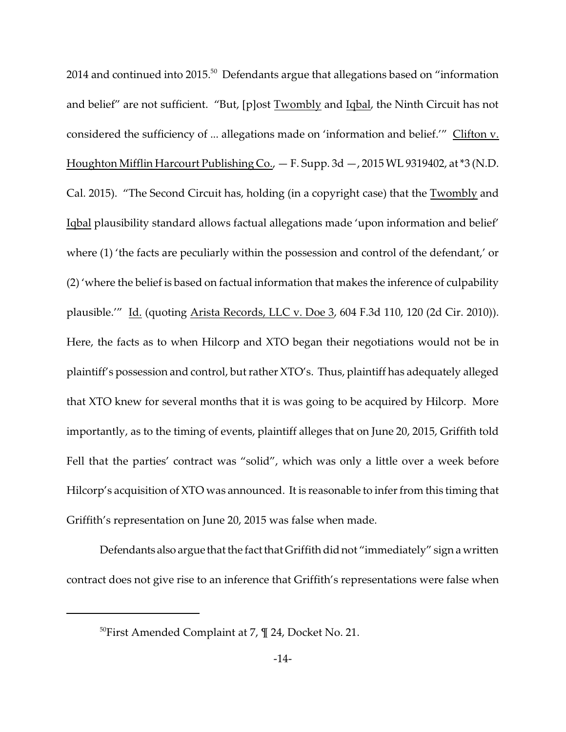$2014$  and continued into  $2015$ <sup>50</sup> Defendants argue that allegations based on "information and belief" are not sufficient. "But, [p]ost Twombly and Iqbal, the Ninth Circuit has not considered the sufficiency of ... allegations made on 'information and belief.'" Clifton v. Houghton Mifflin Harcourt Publishing Co., — F. Supp. 3d —, 2015 WL 9319402, at \*3 (N.D. Cal. 2015). "The Second Circuit has, holding (in a copyright case) that the Twombly and Iqbal plausibility standard allows factual allegations made 'upon information and belief' where (1) 'the facts are peculiarly within the possession and control of the defendant,' or (2) 'where the belief is based on factual information that makes the inference of culpability plausible.'" Id. (quoting Arista Records, LLC v. Doe 3, 604 F.3d 110, 120 (2d Cir. 2010)). Here, the facts as to when Hilcorp and XTO began their negotiations would not be in plaintiff's possession and control, but rather XTO's. Thus, plaintiff has adequately alleged that XTO knew for several months that it is was going to be acquired by Hilcorp. More importantly, as to the timing of events, plaintiff alleges that on June 20, 2015, Griffith told Fell that the parties' contract was "solid", which was only a little over a week before Hilcorp's acquisition of XTO was announced. It is reasonable to infer from this timing that Griffith's representation on June 20, 2015 was false when made.

Defendants also argue that the fact that Griffith did not "immediately" sign a written contract does not give rise to an inference that Griffith's representations were false when

<sup>&</sup>lt;sup>50</sup>First Amended Complaint at 7,  $\P$  24, Docket No. 21.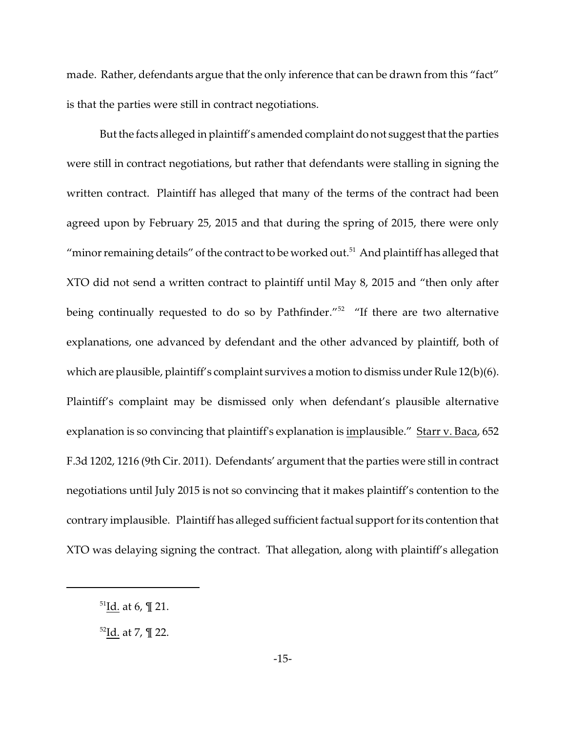made. Rather, defendants argue that the only inference that can be drawn from this "fact" is that the parties were still in contract negotiations.

But the facts alleged in plaintiff's amended complaint do not suggest that the parties were still in contract negotiations, but rather that defendants were stalling in signing the written contract. Plaintiff has alleged that many of the terms of the contract had been agreed upon by February 25, 2015 and that during the spring of 2015, there were only "minor remaining details" of the contract to be worked out.<sup>51</sup> And plaintiff has alleged that XTO did not send a written contract to plaintiff until May 8, 2015 and "then only after being continually requested to do so by Pathfinder."<sup>52</sup> "If there are two alternative explanations, one advanced by defendant and the other advanced by plaintiff, both of which are plausible, plaintiff's complaint survives a motion to dismiss under Rule 12(b)(6). Plaintiff's complaint may be dismissed only when defendant's plausible alternative explanation is so convincing that plaintiff's explanation is implausible." Starr v. Baca, 652 F.3d 1202, 1216 (9th Cir. 2011). Defendants' argument that the parties were still in contract negotiations until July 2015 is not so convincing that it makes plaintiff's contention to the contrary implausible. Plaintiff has alleged sufficient factual support for its contention that XTO was delaying signing the contract. That allegation, along with plaintiff's allegation

 $51$ Id. at 6, ¶ 21.

 $52$ Id. at 7, ¶ 22.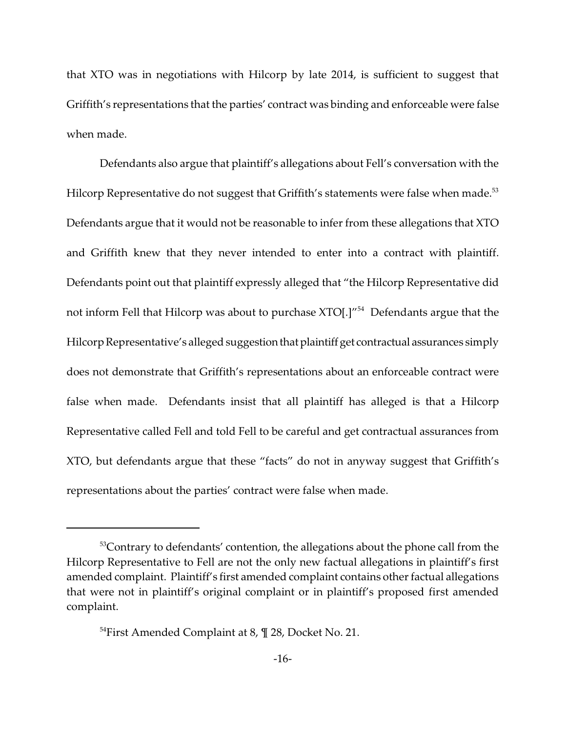that XTO was in negotiations with Hilcorp by late 2014, is sufficient to suggest that Griffith's representations that the parties' contract was binding and enforceable were false when made.

Defendants also argue that plaintiff's allegations about Fell's conversation with the Hilcorp Representative do not suggest that Griffith's statements were false when made.<sup>53</sup> Defendants argue that it would not be reasonable to infer from these allegations that XTO and Griffith knew that they never intended to enter into a contract with plaintiff. Defendants point out that plaintiff expressly alleged that "the Hilcorp Representative did not inform Fell that Hilcorp was about to purchase XTO[.]"<sup>54</sup> Defendants argue that the Hilcorp Representative's alleged suggestion that plaintiff get contractual assurances simply does not demonstrate that Griffith's representations about an enforceable contract were false when made. Defendants insist that all plaintiff has alleged is that a Hilcorp Representative called Fell and told Fell to be careful and get contractual assurances from XTO, but defendants argue that these "facts" do not in anyway suggest that Griffith's representations about the parties' contract were false when made.

<sup>&</sup>lt;sup>53</sup>Contrary to defendants' contention, the allegations about the phone call from the Hilcorp Representative to Fell are not the only new factual allegations in plaintiff's first amended complaint. Plaintiff's first amended complaint contains other factual allegations that were not in plaintiff's original complaint or in plaintiff's proposed first amended complaint.

<sup>&</sup>lt;sup>54</sup>First Amended Complaint at 8,  $\P$  28, Docket No. 21.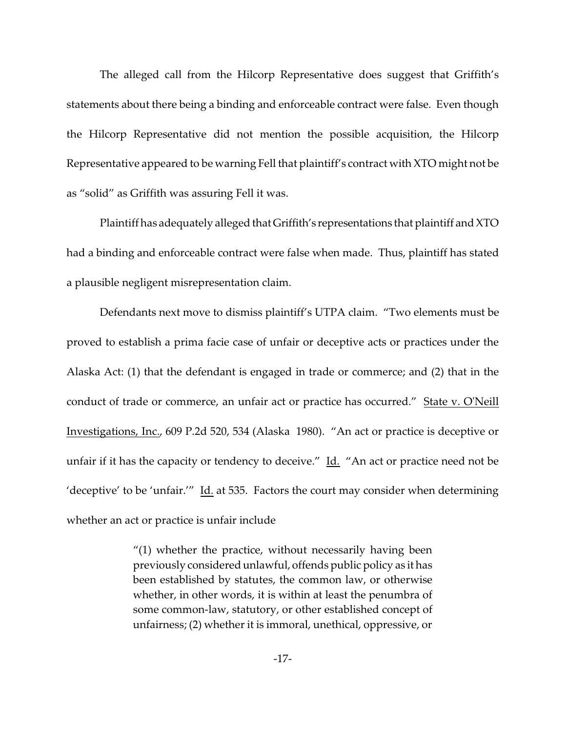The alleged call from the Hilcorp Representative does suggest that Griffith's statements about there being a binding and enforceable contract were false. Even though the Hilcorp Representative did not mention the possible acquisition, the Hilcorp Representative appeared to be warning Fell that plaintiff's contract with XTO might not be as "solid" as Griffith was assuring Fell it was.

Plaintiff has adequately alleged that Griffith's representations that plaintiff and XTO had a binding and enforceable contract were false when made. Thus, plaintiff has stated a plausible negligent misrepresentation claim.

Defendants next move to dismiss plaintiff's UTPA claim. "Two elements must be proved to establish a prima facie case of unfair or deceptive acts or practices under the Alaska Act: (1) that the defendant is engaged in trade or commerce; and (2) that in the conduct of trade or commerce, an unfair act or practice has occurred." State v. O'Neill Investigations, Inc., 609 P.2d 520, 534 (Alaska 1980). "An act or practice is deceptive or unfair if it has the capacity or tendency to deceive." Id. "An act or practice need not be 'deceptive' to be 'unfair.'" Id. at 535. Factors the court may consider when determining whether an act or practice is unfair include

> "(1) whether the practice, without necessarily having been previously considered unlawful, offends public policy as it has been established by statutes, the common law, or otherwise whether, in other words, it is within at least the penumbra of some common-law, statutory, or other established concept of unfairness; (2) whether it is immoral, unethical, oppressive, or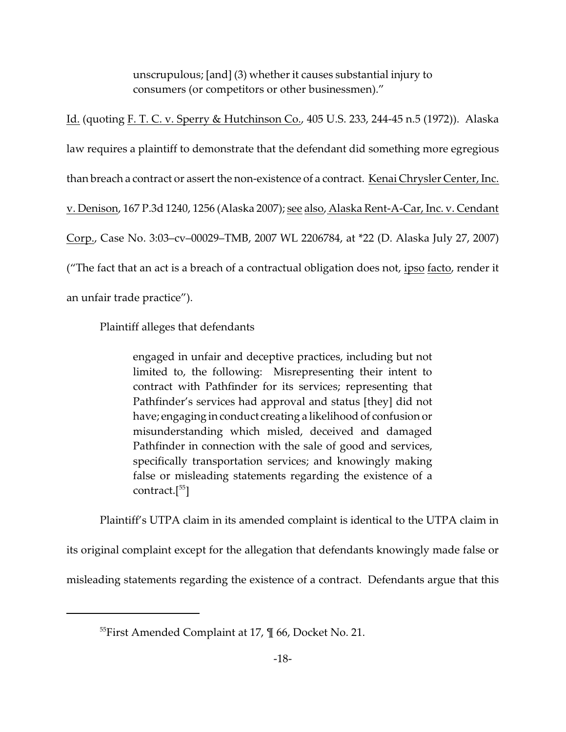unscrupulous; [and] (3) whether it causes substantial injury to consumers (or competitors or other businessmen)."

Id. (quoting F. T. C. v. Sperry & Hutchinson Co., 405 U.S. 233, 244-45 n.5 (1972)). Alaska law requires a plaintiff to demonstrate that the defendant did something more egregious than breach a contract or assert the non-existence of a contract. Kenai Chrysler Center, Inc. v. Denison, 167 P.3d 1240, 1256 (Alaska 2007); see also, Alaska Rent-A-Car, Inc. v. Cendant Corp., Case No. 3:03–cv–00029–TMB, 2007 WL 2206784, at \*22 (D. Alaska July 27, 2007) ("The fact that an act is a breach of a contractual obligation does not, <u>ipso facto</u>, render it an unfair trade practice").

Plaintiff alleges that defendants

engaged in unfair and deceptive practices, including but not limited to, the following: Misrepresenting their intent to contract with Pathfinder for its services; representing that Pathfinder's services had approval and status [they] did not have; engaging in conduct creating a likelihood of confusion or misunderstanding which misled, deceived and damaged Pathfinder in connection with the sale of good and services, specifically transportation services; and knowingly making false or misleading statements regarding the existence of a contract.[<sup>55</sup>]

Plaintiff's UTPA claim in its amended complaint is identical to the UTPA claim in

its original complaint except for the allegation that defendants knowingly made false or

misleading statements regarding the existence of a contract. Defendants argue that this

<sup>&</sup>lt;sup>55</sup>First Amended Complaint at 17,  $\P$  66, Docket No. 21.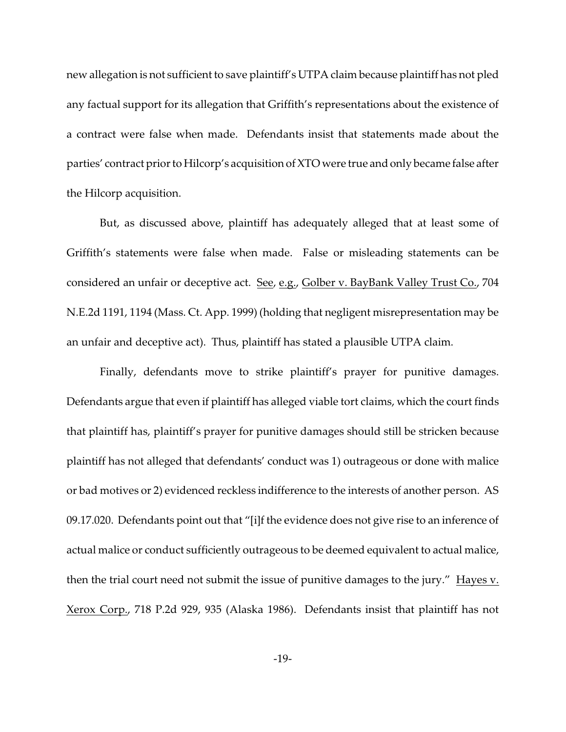new allegation is not sufficient to save plaintiff's UTPA claim because plaintiff has not pled any factual support for its allegation that Griffith's representations about the existence of a contract were false when made. Defendants insist that statements made about the parties' contract prior to Hilcorp's acquisition of XTO were true and only became false after the Hilcorp acquisition.

But, as discussed above, plaintiff has adequately alleged that at least some of Griffith's statements were false when made. False or misleading statements can be considered an unfair or deceptive act. See, e.g., Golber v. BayBank Valley Trust Co., 704 N.E.2d 1191, 1194 (Mass. Ct. App. 1999) (holding that negligent misrepresentation may be an unfair and deceptive act). Thus, plaintiff has stated a plausible UTPA claim.

Finally, defendants move to strike plaintiff's prayer for punitive damages. Defendants argue that even if plaintiff has alleged viable tort claims, which the court finds that plaintiff has, plaintiff's prayer for punitive damages should still be stricken because plaintiff has not alleged that defendants' conduct was 1) outrageous or done with malice or bad motives or 2) evidenced reckless indifference to the interests of another person. AS 09.17.020. Defendants point out that "[i]f the evidence does not give rise to an inference of actual malice or conduct sufficiently outrageous to be deemed equivalent to actual malice, then the trial court need not submit the issue of punitive damages to the jury." Hayes v. Xerox Corp., 718 P.2d 929, 935 (Alaska 1986). Defendants insist that plaintiff has not